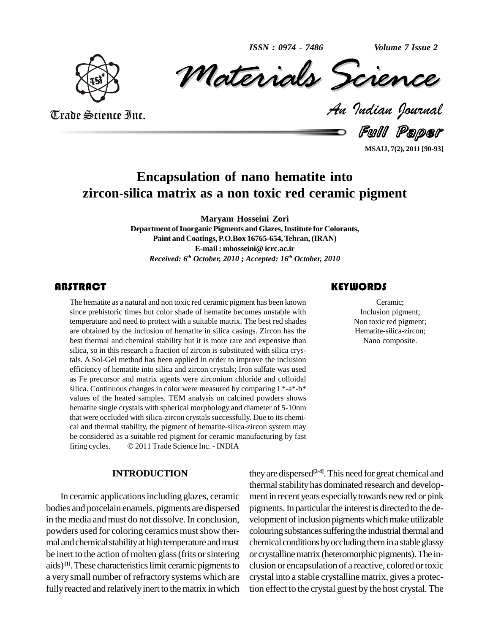*ISSN : 0974 - 7486*

*Volume 7 Issue 2*



*Materials Science* Volume 7 Issue 2<br> *CREMCE*<br> *Padian Pournal* ISSN: 0974 - 7486 Volume 7 Issue 2

Trade Science Inc. Trade Science Inc.

Full Paper

**MSAIJ, 7(2), 2011 [90-93]**

# **Encapsulation of nano hematite into zircon-silica matrix as a non toxic red ceramic pigment**

**Maryam Hosseini Zori Department ofInorganic Pigments andGlazes,Institute for Colorants, Paint and Coatings,P.O.Box 16765-654,Tehran, (IRAN) E-mail : mhosseini@ icrc.ac.ir** *Received: 6 th October, 2010 ; Accepted: 16 th October, 2010*

### **ABSTRACT**

The hematite as a natural and non toxic red ceramic pigment has been known<br>
since prehistoric times but color shade of hematite becomes unstable with<br>
temperature and need to protect with a suitable matrix. The best red sh The hematite as a natural and non toxic red ceramic pigment has been known since prehistoric times but color shade of hematite becomes unstable with temperature and need to protect with a suitable matrix. The best red shades are obtained by the inclusion of hematite in silica casings. Zircon has the best thermal and chemical stability but it is more rare and expensive than silica, so in this research a fraction of zircon is substituted with silica crystals. A Sol-Gel method has been applied in order to improve the inclusion efficiency of hematite into silica and zircon crystals; Iron sulfate was used as Fe precursor and matrix agents were zirconium chloride and colloidal silica. Continuous changes in color were measured by comparing L\*-a\*-b\* values of the heated samples. TEM analysis on calcined powders shows hematite single crystals with spherical morphology and diameter of 5-10nm that were occluded with silica-zircon crystals successfully. Due to its chemical and thermal stability, the pigment of hematite-silica-zircon system may<br>be considered as a suitable red pigment for ceramic manufacturing by fast<br>firing cycles. © 2011 Trade Science Inc. - INDIA be considered as a suitable red pigment for ceramic manufacturing by fast

#### **INTRODUCTION**

In ceramic applications including glazes, ceramic bodies and porcelain enamels, pigments are dispersed in the media and must do not dissolve. In conclusion, powders used for coloring ceramics must show thermal and chemical stability at high temperature and must be inert to the action of molten glass (frits or sintering aids)<sup>[1]</sup>. These characteristics limit ceramic pigments to clusion a very small number of refractory systems which are fully reacted and relatively inert to the matrix in which

## **KEYWORDS**

Ceramic; Inclusion pigment; Non toxic red pigment; Hematite-silica-zircon; Nano composite.

they are dispersed<sup>[2-4]</sup>. This need for great chemical and thermal stability has dominated research and development in recent years especiallytowards newred or pink pigments. In particular the interest is directed to the development of inclusion pigments which make utilizable colouring substances suffering the industrial thermal and chemical conditions by occluding them in a stable glassy or crystalline matrix (heteromorphic pigments). The inclusion or encapsulation of a reactive, colored ortoxic crystal into a stable crystalline matrix, gives a protection effect to the crystal guest by the host crystal. The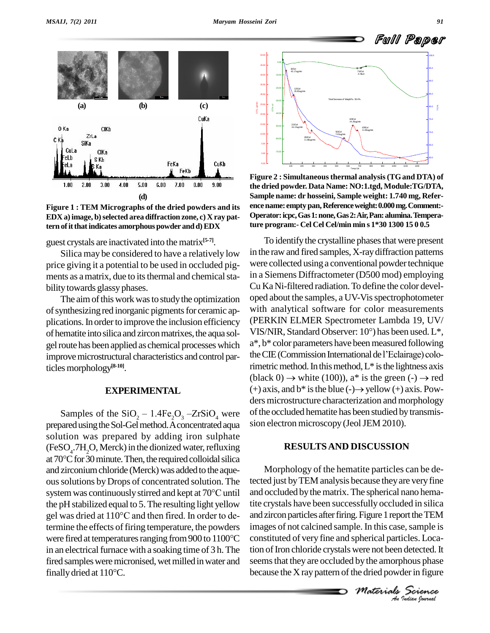

**Figure 1 : TEM Micrographs of the dried powders and its EDX** a) **image**, **b**) selected area diffraction **zone**, **c**) **X ray** pat**tern ofitthatindicates amorphous powder andd)EDX**

guest crystals are inactivated into the matrix **[5-7]**.

Silica may be considered to have a relatively low price giving it a potential to be used in occluded pig ments as a matrix, due to its thermal and chemical stability towards glassy phases.

The aim of this work was to study the optimization of synthesizing red inorganic pigments for ceramic applications. In order to improve the inclusion efficiency of hematite into silica and zircon matrixes, the aqua solgel route has been applied as chemical processes which improvemicrostructural characteristics and control particlesmorphology **[8-10]**.

#### **EXPERIMENTAL**

prepared using the Sol-Gel method. A concentrated aqua solution was prepared by adding iron sulphate  $(FeSO<sub>4</sub>.7H<sub>2</sub>O, Merck)$  in the dionized water, refluxing solution was prepared by adding iron sulphate<br>(FeSO<sub>4</sub>.7H<sub>2</sub>O, Merck) in the dionized water, refluxing<br>at 70°C for 30 minute. Then, the required colloidal silica and zirconium chloride (Merck) was added to the aqueous solutions by Drops of concentrated solution. The tected and zirconium chloride (Merck) was added to the aque-<br>ous solutions by Drops of concentrated solution. The tec<br>system was continuously stirred and kept at 70°C until and the pH stabilized equal to 5.The resulting light yellow system was continuously stirred and kept at 70 $^{\circ}$ C until<br>the pH stabilized equal to 5. The resulting light yellow<br>gel was dried at  $110^{\circ}$ C and then fired. In order to determine the effects of firing temperature, the powders imag gel was dried at 110°C and then fired. In order to de-<br>termine the effects of firing temperature, the powders images of<br>were fired at temperatures ranging from 900 to 1100°C constitute in an electrical furnace with a soaking time of 3 h. The fired samples were micronised, wet milled in water and seems in an electrical furnace with<br>fired samples were micronis<br>finally dried at 110°C.



**Figure 2 : Simultaneousthermal analysis(TGand DTA) of the dried powder. Data Name: NO:1.tgd, Module:TG/DTA, Sample name: dr hosseini, Sample weight: 1.740 mg, Refer encename: emptypan,Referenceweight:0.000mg.Comment:- Operator:icpc,Gas1:none,Gas2:Air,Pan:alumina.Temperature program:- Cel Cel Cel/min min s 1\*30 1300 15 0 0.5**

**EXPERIMENTAL** (+) axis, and b\* is the blue (-)  $\rightarrow$  yellow (+) axis. Powders microstructure characterization and morphology<br>Samples of the SiO<sub>2</sub> – 1.4Fe<sub>2</sub>O<sub>3</sub> – ZrSiO<sub>4</sub> were of the occluded hematite has been studied b To identify the crystalline phases that were present in the raw and fired samples, X-ray diffraction patterns were collected using a conventional powder technique in a Siemens Diffractometer (D500 mod) employing Cu Ka Ni-filtered radiation.To define the color devel oped about the samples, a UV-Vis spectrophotometer with analytical software for color measurements<br>(PERKIN ELMER Spectrometer Lambda 19, UV/<br>VIS/NIR, Standard Observer: 10°) has been used. L\*, (PERKIN ELMER Spectrometer Lambda 19, UV/ a\*, b\* color parameters have beenmeasured following VIS/NIR, Standard Observer:  $10^{\circ}$ ) has been used. L\*, a\*, b\* color parameters have been measured following the CIE (Commission International de l'Eclairage) colorimetric method. In this method,  $L^*$  is the lightness axis the CIE (Commission International de l'Eclairage) colo-<br>rimetric method. In this method, L\* is the lightness axis<br>(black 0)  $\rightarrow$  white (100)), a\* is the green (-)  $\rightarrow$  red rimetric method. In this method, L\* is the lightness axis<br>(black 0)  $\rightarrow$  white (100)), a\* is the green (-)  $\rightarrow$  red<br>(+) axis, and b\* is the blue (-) $\rightarrow$  yellow (+) axis. Powders microstructure characterization and morphology of the occluded hematite has been studied by transmission electron microscopy (Jeol JEM 2010).

#### **RESULTSAND DISCUSSION**

*M Indian M Indian M Indian Materials Materials Materials Materials Materials Materials An Indian Ignural* images of not calcined sample. In this case, sample is Morphology of the hematite particles can be detected just byTEM analysis because theyare veryfine and occluded by the matrix. The spherical nano hematite crystals have been successfully occluded in silica and zircon particles after firing. Figure 1 report the TEM constituted of very fine and spherical particles. Location of Iron chloride crystals were not been detected. It seems that they are occluded by the amorphous phase because the  $X$  ray pattern of the dried powder in figure

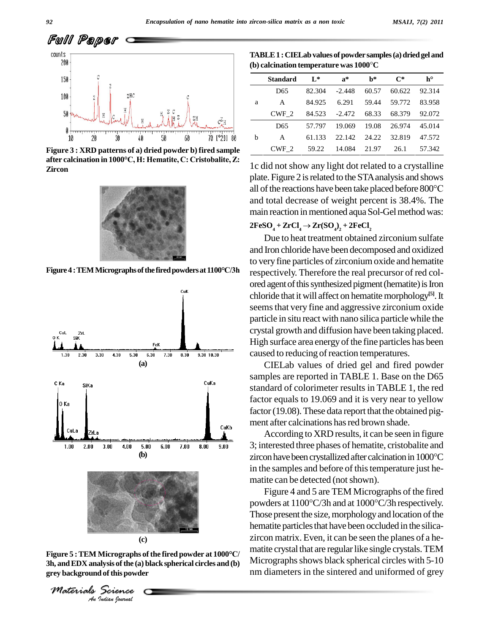

**Figure 3 : XRD patterns of a) dried powder b) fired sample a** after by the calcination in 1000°C, H: Hematite, C: Cristobalite, Z: **Zircon**



**Figure4 :TEMMicrographsofthefiredpowdersat1100°C/3h**



(c)<br>*Indian*<br>*Indian*<br>*Indian bouvad* **Figure <sup>5</sup> :TEM Micrographs ofthe fired powder at <sup>1000</sup>°C/ 3h,** and EDX analysis of the (a) black spherical circles and (b) **grey background ofthis powder**

*Materials Science*

**TABLE1 :CIELabvalues ofpowdersamples(a)driedgel and (b) calcination temperature was <sup>1000</sup><sup>C</sup>** (b) calcination temperature was  $1000^{\circ}$ C

|   | Standard        | $L^*$  | $a^*$                      | $h^*$ | $\mathbf{C}^*$      | $h^{\circ}$ |
|---|-----------------|--------|----------------------------|-------|---------------------|-------------|
| a | D <sub>65</sub> | 82.304 | -2.448                     | 60.57 | 60.622              | 92.314      |
|   | A               | 84.925 | 6.291                      |       | 59.44 59.772        | 83.958      |
|   | CWF 2           |        | 84.523 -2.472 68.33 68.379 |       |                     | 92.072      |
| b | D <sub>65</sub> | 57.797 |                            |       | 19.069 19.08 26.974 | 45.014      |
|   | A               | 61.133 | 22.142 24.22 32.819        |       |                     | 47.572      |
|   | CWF 2           | 59.22  | 14.084                     | 21.97 | 26.1                | 57.342      |

1c did not show anylight dot related to a crystalline plate. Figure 2 isrelated to the STAanalysis and shows 1c did not show any light dot related to a crystalline<br>plate. Figure 2 is related to the STA analysis and shows<br>all of the reactions have been take placed before 800°C and total decrease of weight percent is 38.4%. The  $\text{mean reaction in mentioned aqua Sol-Gel method was: } 2\text{FeSO}_4 + \text{ZrCl}_4 \rightarrow \text{Zr(SO}_4)_2 + 2\text{FeCl}_2$ 

#### $2FeSO_4 + ZrCl_4 \rightarrow Zr(SO_4)_2 + 2FeCl_2$

Due to heat treatment obtained zirconium sulfate and Iron chloride have been decomposed and oxidized to very fine particles of zirconium oxide and hematite respectively. Therefore the real precursor of red col ored agent of this synthesized pigment (hematite) is Iron chloride that it will affect on hematitemorphology **[5]**.It seems that very fine and aggressive zirconium oxide particle in situ react with nano silica particle while the crystal growth and diffusion have been taking placed. High surface area energy of the fine particles has been caused to reducing of reaction temperatures.

CIELab values of dried gel and fired powder samples are reported in TABLE 1. Base on the D65 standard of colorimeter results in TABLE 1, the red factor equals to 19.069 and it is very near to yellow factor (19.08). These data report that the obtained pigment after calcinations has red brown shade.

According to XRD results, it can be seen in figure 3; interested three phases of hematite, cristobalite and zircon have been crystallized after calcination in 1000°C in the samples and before of this temperature just hematite can be detected (not shown).

Figure 4 and 5 are TEM Micrographs of the fired powders at 1100°C/3h and at 1000°C/3h respectively. Those present the size, morphology and location of the hematite particles that have been occluded in the silicazircon matrix. Even, it can be seen the planes of a he matite crystal that are regular like single crystals. TEM Micrographs shows black spherical circles with 5-10 nm diameters in the sintered and uniformed of grey